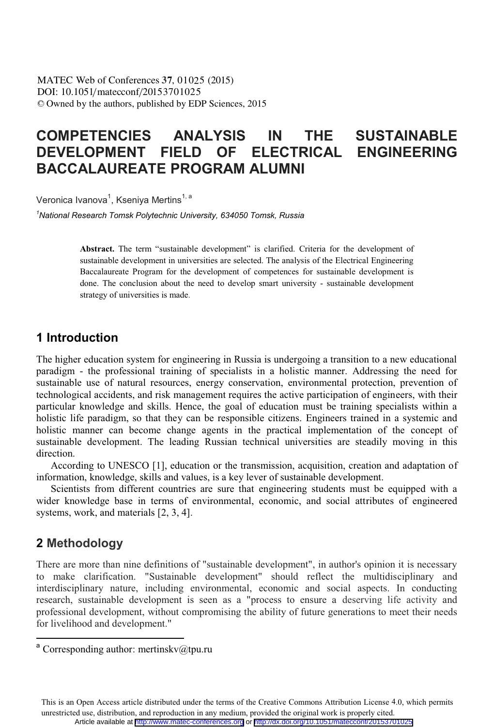DOI: 10.1051/matecconf/20153701025 -<sup>C</sup> Owned by the authors, published by EDP Sciences, 2015 MATEC Web of Conferences 37, 01025 (2015)

# **COMPETENCIES ANALYSIS IN THE SUSTAINABLE DEVELOPMENT FIELD OF ELECTRICAL ENGINEERING BACCALAUREATE PROGRAM ALUMNI**

Veronica Ivanova<sup>1</sup>, Kseniva Mertins<sup>1, a</sup>

*1 National Research Tomsk Polytechnic University, 634050 Tomsk, Russia* 

**Abstract.** The term "sustainable development" is clarified. Criteria for the development of sustainable development in universities are selected. The analysis of the Electrical Engineering Baccalaureate Program for the development of competences for sustainable development is done. The conclusion about the need to develop smart university - sustainable development strategy of universities is made.

### **1 Introduction**

The higher education system for engineering in Russia is undergoing a transition to a new educational paradigm - the professional training of specialists in a holistic manner. Addressing the need for sustainable use of natural resources, energy conservation, environmental protection, prevention of technological accidents, and risk management requires the active participation of engineers, with their particular knowledge and skills. Hence, the goal of education must be training specialists within a holistic life paradigm, so that they can be responsible citizens. Engineers trained in a systemic and holistic manner can become change agents in the practical implementation of the concept of sustainable development. The leading Russian technical universities are steadily moving in this direction.

According to UNESCO [1], education or the transmission, acquisition, creation and adaptation of information, knowledge, skills and values, is a key lever of sustainable development.

Scientists from different countries are sure that engineering students must be equipped with a wider knowledge base in terms of environmental, economic, and social attributes of engineered systems, work, and materials [2, 3, 4].

## **2 Methodology**

 $\overline{a}$ 

There are more than nine definitions of "sustainable development", in author's opinion it is necessary to make clarification. "Sustainable development" should reflect the multidisciplinary and interdisciplinary nature, including environmental, economic and social aspects. In conducting research, sustainable development is seen as a "process to ensure a deserving life activity and professional development, without compromising the ability of future generations to meet their needs for livelihood and development."

This is an Open Access article distributed under the terms of the Creative Commons Attribution License 4.0, which permits unrestricted use, distribution, and reproduction in any medium, provided the original work is properly cited. Article available at <http://www.matec-conferences.org> or <http://dx.doi.org/10.1051/matecconf/20153701025>

<sup>&</sup>lt;sup>a</sup> Corresponding author: mertinsky@tpu.ru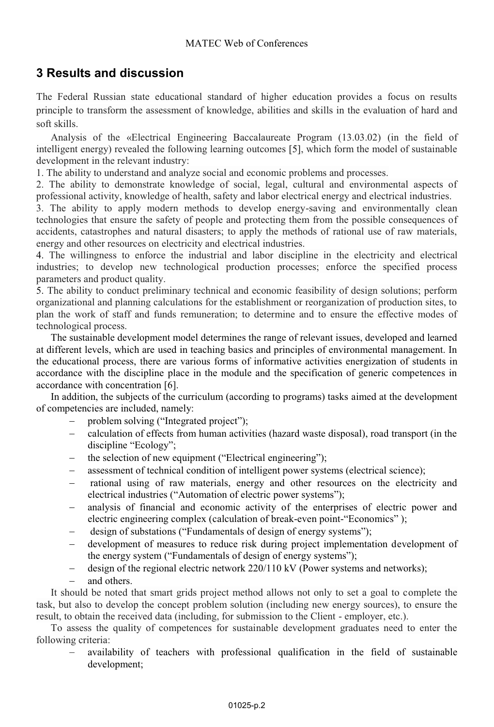## **3 Results and discussion**

The Federal Russian state educational standard of higher education provides a focus on results principle to transform the assessment of knowledge, abilities and skills in the evaluation of hard and soft skills.

Analysis of the «Electrical Engineering Baccalaureate Program (13.03.02) (in the field of intelligent energy) revealed the following learning outcomes [5], which form the model of sustainable development in the relevant industry:

1. The ability to understand and analyze social and economic problems and processes.

2. The ability to demonstrate knowledge of social, legal, cultural and environmental aspects of professional activity, knowledge of health, safety and labor electrical energy and electrical industries.

3. The ability to apply modern methods to develop energy-saving and environmentally clean technologies that ensure the safety of people and protecting them from the possible consequences of accidents, catastrophes and natural disasters; to apply the methods of rational use of raw materials, energy and other resources on electricity and electrical industries.

4. The willingness to enforce the industrial and labor discipline in the electricity and electrical industries; to develop new technological production processes; enforce the specified process parameters and product quality.

5. The ability to conduct preliminary technical and economic feasibility of design solutions; perform organizational and planning calculations for the establishment or reorganization of production sites, to plan the work of staff and funds remuneration; to determine and to ensure the effective modes of technological process.

The sustainable development model determines the range of relevant issues, developed and learned at different levels, which are used in teaching basics and principles of environmental management. In the educational process, there are various forms of informative activities energization of students in accordance with the discipline place in the module and the specification of generic competences in accordance with concentration [6].

In addition, the subjects of the curriculum (according to programs) tasks aimed at the development of competencies are included, namely:

- problem solving ("Integrated project");
- calculation of effects from human activities (hazard waste disposal), road transport (in the discipline "Ecology";
- the selection of new equipment ("Electrical engineering");
- assessment of technical condition of intelligent power systems (electrical science);
- rational using of raw materials, energy and other resources on the electricity and electrical industries ("Automation of electric power systems");
- analysis of financial and economic activity of the enterprises of electric power and electric engineering complex (calculation of break-even point-"Economics" );
- design of substations ("Fundamentals of design of energy systems");
- development of measures to reduce risk during project implementation development of the energy system ("Fundamentals of design of energy systems");
- $$ design of the regional electric network 220/110 kV (Power systems and networks);
- and others.

It should be noted that smart grids project method allows not only to set a goal to complete the task, but also to develop the concept problem solution (including new energy sources), to ensure the result, to obtain the received data (including, for submission to the Client - employer, etc.).

To assess the quality of competences for sustainable development graduates need to enter the following criteria:

 availability of teachers with professional qualification in the field of sustainable development;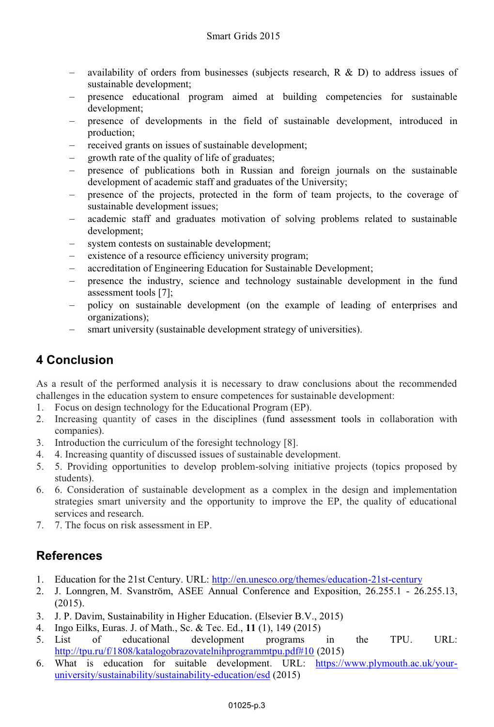- availability of orders from businesses (subjects research, R & D) to address issues of sustainable development;
- presence educational program aimed at building competencies for sustainable development;
- presence of developments in the field of sustainable development, introduced in production;
- received grants on issues of sustainable development;
- growth rate of the quality of life of graduates;
- presence of publications both in Russian and foreign journals on the sustainable development of academic staff and graduates of the University;
- presence of the projects, protected in the form of team projects, to the coverage of sustainable development issues;
- academic staff and graduates motivation of solving problems related to sustainable development;
- system contests on sustainable development;
- existence of a resource efficiency university program;
- accreditation of Engineering Education for Sustainable Development;
- presence the industry, science and technology sustainable development in the fund assessment tools [7];
- policy on sustainable development (on the example of leading of enterprises and organizations);
- smart university (sustainable development strategy of universities).

# **4 Conclusion**

As a result of the performed analysis it is necessary to draw conclusions about the recommended challenges in the education system to ensure competences for sustainable development:

- 1. Focus on design technology for the Educational Program (EP).
- 2. Increasing quantity of cases in the disciplines (fund assessment tools in collaboration with companies).
- 3. Introduction the curriculum of the foresight technology [8].
- 4. 4. Increasing quantity of discussed issues of sustainable development.
- 5. 5. Providing opportunities to develop problem-solving initiative projects (topics proposed by students).
- 6. 6. Consideration of sustainable development as a complex in the design and implementation strategies smart university and the opportunity to improve the EP, the quality of educational services and research.
- 7. 7. The focus on risk assessment in EP.

# **References**

- 1. Education for the 21st Century. URL: http://en.unesco.org/themes/education-21st-century
- 2. J. Lonngren, M. Svanström, ASEE Annual Conference and Exposition, 26.255.1 26.255.13, (2015).
- 3. J. P. Davim, Sustainability in Higher Education. (Elsevier B.V., 2015)
- 4. Ingo Eilks, Euras. J. of Math., Sc. & Tec. Ed., **11** (1), 149 (2015)
- 5. List of educational development programs in the TPU. URL: http://tpu.ru/f/1808/katalogobrazovatelnihprogrammtpu.pdf#10 (2015)
- 6. What is education for suitable development. URL: https://www.plymouth.ac.uk/youruniversity/sustainability/sustainability-education/esd (2015)